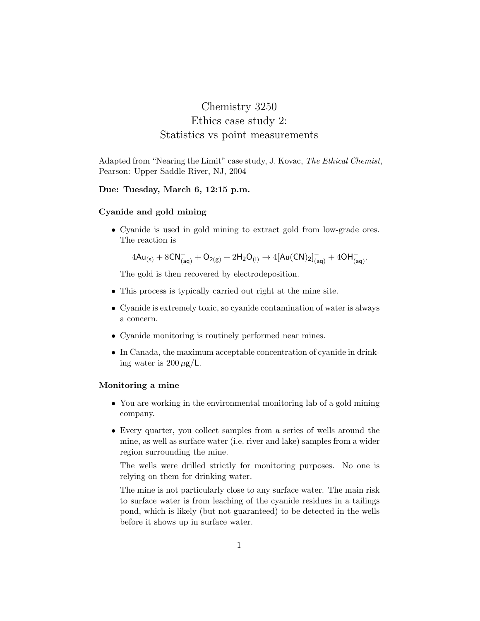# Chemistry 3250 Ethics case study 2: Statistics vs point measurements

Adapted from "Nearing the Limit" case study, J. Kovac, The Ethical Chemist, Pearson: Upper Saddle River, NJ, 2004

# Due: Tuesday, March 6, 12:15 p.m.

## Cyanide and gold mining

• Cyanide is used in gold mining to extract gold from low-grade ores. The reaction is

$$
4\mathsf{Au}_{(\mathsf{s})} + 8\mathsf{CN}_{(\mathsf{aq})}^- + \mathsf{O}_{2(\mathsf{g})} + 2\mathsf{H}_2\mathsf{O}_{(\mathsf{l})} \to 4[\mathsf{Au}(\mathsf{CN})_2]^-_{(\mathsf{aq})} + 4\mathsf{OH}^-_{(\mathsf{aq})}.
$$

The gold is then recovered by electrodeposition.

- This process is typically carried out right at the mine site.
- Cyanide is extremely toxic, so cyanide contamination of water is always a concern.
- Cyanide monitoring is routinely performed near mines.
- In Canada, the maximum acceptable concentration of cyanide in drinking water is  $200 \mu g/L$ .

## Monitoring a mine

- You are working in the environmental monitoring lab of a gold mining company.
- Every quarter, you collect samples from a series of wells around the mine, as well as surface water (i.e. river and lake) samples from a wider region surrounding the mine.

The wells were drilled strictly for monitoring purposes. No one is relying on them for drinking water.

The mine is not particularly close to any surface water. The main risk to surface water is from leaching of the cyanide residues in a tailings pond, which is likely (but not guaranteed) to be detected in the wells before it shows up in surface water.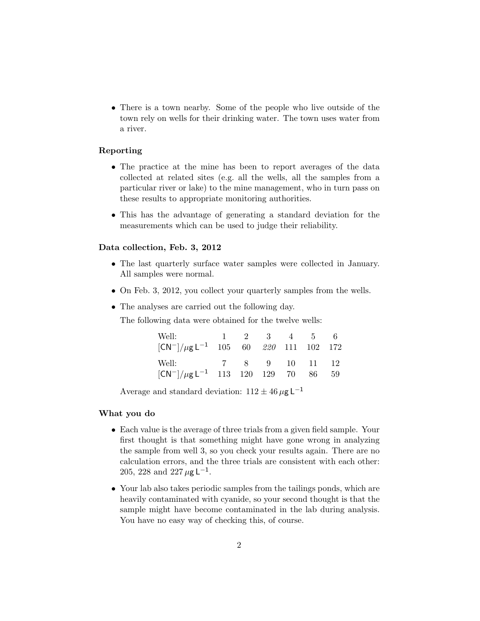• There is a town nearby. Some of the people who live outside of the town rely on wells for their drinking water. The town uses water from a river.

## Reporting

- The practice at the mine has been to report averages of the data collected at related sites (e.g. all the wells, all the samples from a particular river or lake) to the mine management, who in turn pass on these results to appropriate monitoring authorities.
- This has the advantage of generating a standard deviation for the measurements which can be used to judge their reliability.

## Data collection, Feb. 3, 2012

- The last quarterly surface water samples were collected in January. All samples were normal.
- On Feb. 3, 2012, you collect your quarterly samples from the wells.
- The analyses are carried out the following day.

The following data were obtained for the twelve wells:

| Well:<br>$[CN^-]/\mu g L^{-1}$ 105 60 220 111 102 172              |  | $1 \quad 2 \quad 3 \quad 4 \quad 5 \quad 6$ |  |  |
|--------------------------------------------------------------------|--|---------------------------------------------|--|--|
| Well: 7 8 9 10 11 12<br>$[CN^-]/\mu g L^{-1}$ 113 120 129 70 86 59 |  |                                             |  |  |

Average and standard deviation:  $112 \pm 46 \,\mu g \,\mathsf{L}^{-1}$ 

#### What you do

- Each value is the average of three trials from a given field sample. Your first thought is that something might have gone wrong in analyzing the sample from well 3, so you check your results again. There are no calculation errors, and the three trials are consistent with each other: 205, 228 and 227  $\mu$ g L<sup>-1</sup>.
- Your lab also takes periodic samples from the tailings ponds, which are heavily contaminated with cyanide, so your second thought is that the sample might have become contaminated in the lab during analysis. You have no easy way of checking this, of course.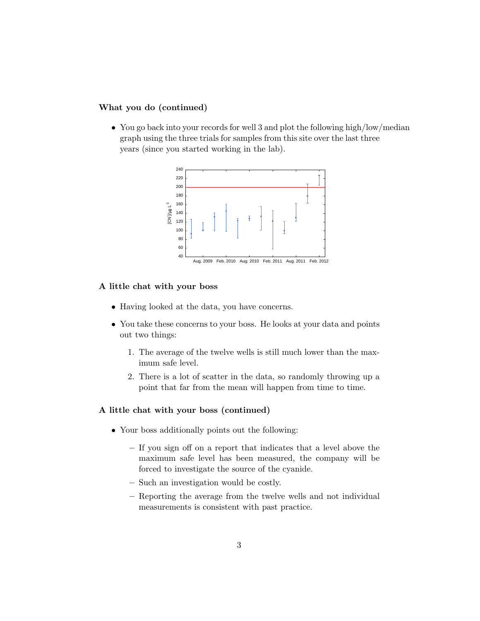# What you do (continued)

• You go back into your records for well 3 and plot the following high/low/median graph using the three trials for samples from this site over the last three years (since you started working in the lab).



# A little chat with your boss

- Having looked at the data, you have concerns.
- You take these concerns to your boss. He looks at your data and points out two things:
	- 1. The average of the twelve wells is still much lower than the maximum safe level.
	- 2. There is a lot of scatter in the data, so randomly throwing up a point that far from the mean will happen from time to time.

# A little chat with your boss (continued)

- Your boss additionally points out the following:
	- If you sign off on a report that indicates that a level above the maximum safe level has been measured, the company will be forced to investigate the source of the cyanide.
	- Such an investigation would be costly.
	- Reporting the average from the twelve wells and not individual measurements is consistent with past practice.